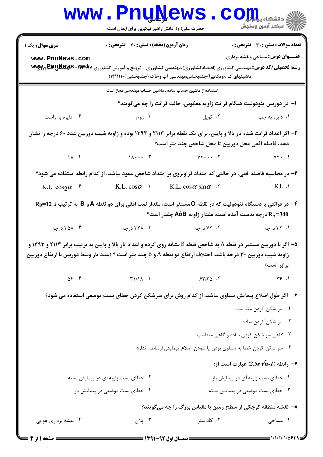|                                                                                                                                                                                                                                       | <b>www.PnuNews</b><br>حضرت علی(ع): دانش راهبر نیکویی برای ایمان است   |                                                                          | ي دانشڪا <b>، پياپايل</b><br>پ<br>  /> مرکز آزمون وسنجش                                                                                                                           |  |  |
|---------------------------------------------------------------------------------------------------------------------------------------------------------------------------------------------------------------------------------------|-----------------------------------------------------------------------|--------------------------------------------------------------------------|-----------------------------------------------------------------------------------------------------------------------------------------------------------------------------------|--|--|
| <b>سری سوال :</b> یک ۱                                                                                                                                                                                                                | <b>زمان آزمون (دقیقه) : تستی : 60 ٪ تشریحی : 0</b>                    |                                                                          | <b>تعداد سوالات : تستي : 30 ٪ تشريحي : 0</b>                                                                                                                                      |  |  |
| www.PnuNews.com                                                                                                                                                                                                                       |                                                                       | ماشینهای ک ×ومکانیزا)چندبخشی،مهندسی آب وخاک (چندبخشی )۱۴۱۱۱۱۱۰)          | <b>عنـــوان درس:</b> مساحي ونقشه برداري<br><b>رشته تحصیلی/کد درس: م</b> هندسی کشاورزی (اقتصادکشاورزی)،مهندسی کشاورزی - ترویج و آموزش کشاورزی <b>۱۳۹</b> ۵۷ 3- <b>EE ورwy ت</b> را |  |  |
|                                                                                                                                                                                                                                       | استفاده از ماشین حساب ساده ، ماشین حساب مهندسی مجاز است               |                                                                          |                                                                                                                                                                                   |  |  |
|                                                                                                                                                                                                                                       |                                                                       | ا– در دوربین تئودولیت هنگام قرائت زاویه معکوس، حالت قرائت را چه میگویند؟ |                                                                                                                                                                                   |  |  |
| ۰۴ دايره به راست                                                                                                                                                                                                                      | ۰۳ زوج $\cdot$                                                        | ۰۲ کوپل                                                                  | ۰۱ دايره به چپ                                                                                                                                                                    |  |  |
| ۲- اگر اعداد قرائت شده تار بالا و پایین، برای یک نقطه برابر ۲۱۱۳ و ۱۳۹۳ بوده و زاویه شیب دوربین عدد ۶۰ درجه را نشان                                                                                                                   |                                                                       | دهد، فاصله افقی محل دوربین تا محل شاخص چند متر است؟                      |                                                                                                                                                                                   |  |  |
| $\Lambda$ . F                                                                                                                                                                                                                         |                                                                       |                                                                          | $YY \cdot .1$                                                                                                                                                                     |  |  |
| ۳- در محاسبه فاصله افقی، در حالتی که امتداد قراولروی بر امتداد شاخص عمود نباشد، از کدام رابطه استفاده می شود؟                                                                                                                         |                                                                       |                                                                          |                                                                                                                                                                                   |  |  |
| K.L. $\cos 2\alpha$ $\cdot$ <sup>6</sup>                                                                                                                                                                                              | K.L. $\cos \alpha$ $\cdot$ " K.L. $\cos \alpha \sin \alpha$ $\cdot$ " |                                                                          | $KL \cdot \Lambda$                                                                                                                                                                |  |  |
| ۴- در قرائتی با دستگاه تئودولیت که در نقطه O مستقر است، مقدار لمب افقی برای دو نقطه A و B به ترتیب و RB=12<br>$\,$ ورجه بدست آمده است، مقدار زاویه AôB چقدر است $\rm R_A$ =340                                                        |                                                                       |                                                                          |                                                                                                                                                                                   |  |  |
| ۰۴ درجه                                                                                                                                                                                                                               | ۰۳ ۲۲۸ درجه                                                           | ۰۲ درجه                                                                  | ۰۱ ۳۲ درجه                                                                                                                                                                        |  |  |
| ۵– اگر با دوربین مستقر در نقطه A به شاخص نقطه B نشانه روی کرده و اعداد تار بالا و پایین به ترتیب برابر ۲۱۱۳ و ۱۳۹۳ و<br>زاویه شیب دوربین ۳۰ درجه باشد، اختلاف ارتفاع دو نقطه A و B چند متر است ؟ (عدد تار وسط دوربین با ارتفاع دوربین |                                                                       |                                                                          | برابر است)                                                                                                                                                                        |  |  |
| $\Delta \mathfrak{f}$ . $\mathfrak{f}$                                                                                                                                                                                                | $T1/\lambda$ .                                                        | $55/70$ .                                                                | $\forall \xi$ .                                                                                                                                                                   |  |  |
| ۶– اگر طول اضلاع پیمایش مساوی نباشد، از کدام روش برای سرشکن کردن خطای بست موضعی استفاده می شود؟                                                                                                                                       |                                                                       |                                                                          |                                                                                                                                                                                   |  |  |
|                                                                                                                                                                                                                                       |                                                                       |                                                                          | ۰۱ سر شکن کردن متناسب<br>۰۲ سر شکن کردن ساده                                                                                                                                      |  |  |
|                                                                                                                                                                                                                                       |                                                                       |                                                                          | ۰۳ گاهی سر شکن کردن ساده و گاهی متناسب                                                                                                                                            |  |  |
|                                                                                                                                                                                                                                       |                                                                       | ۰۴ سر شکن کردن خطا به مساوی بودن یا نبودن اضلاع پیمایش ارتباطی ندارد.    |                                                                                                                                                                                   |  |  |
|                                                                                                                                                                                                                                       |                                                                       |                                                                          | - رابطه (2.5e $\sqrt{n}$ -1) عبارت است از $\blacktriangleright$                                                                                                                   |  |  |
| ۰۲ خطای بست زاویه ای در پیمایش بسته                                                                                                                                                                                                   |                                                                       |                                                                          | ۰۱ خطای بست زاویه ای در پیمایش باز                                                                                                                                                |  |  |
|                                                                                                                                                                                                                                       | ۰۴ خطای بست موضعی در پیمایش باز                                       |                                                                          | ۰۳ خطای بست موضعی در پیمایش بسته                                                                                                                                                  |  |  |
| ۸- نقشه منطقه کوچکی از سطح زمین با مقیاس بزرگ را چه میگویند؟                                                                                                                                                                          |                                                                       |                                                                          |                                                                                                                                                                                   |  |  |
| ۰۴ نقشه برداری هوایی                                                                                                                                                                                                                  | ۰۳ پلان                                                               | ۰۲ کاداستر                                                               | ۰۱ مساحی                                                                                                                                                                          |  |  |
| <b>= صفحه 1 از 4</b> =                                                                                                                                                                                                                |                                                                       | ــــــــــــ نیمسال اول 92-1391 ـــــــــ                                | $= 1.1.11.1.0819$                                                                                                                                                                 |  |  |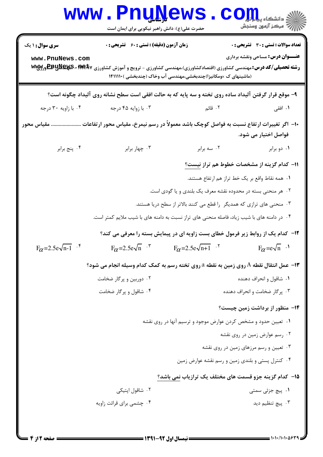| <b>WWW</b>                                                                                                                                                                 | <b>Calling Corporation</b><br>حضرت علی(ع): دانش راهبر نیکویی برای ایمان است      |                                                                                                                                                                                                                                                                                                                                                          | د دانشگاه پ <b>یام تو</b><br>أآت مرکز آزمون وسنجش                                                                                                                                                                                                                                          |
|----------------------------------------------------------------------------------------------------------------------------------------------------------------------------|----------------------------------------------------------------------------------|----------------------------------------------------------------------------------------------------------------------------------------------------------------------------------------------------------------------------------------------------------------------------------------------------------------------------------------------------------|--------------------------------------------------------------------------------------------------------------------------------------------------------------------------------------------------------------------------------------------------------------------------------------------|
| سری سوال: ۱ یک<br>www.PnuNews.com<br><b>رشته تحصیلی/کد درس:</b> مهندسی کشاورزی (اقتصادکشاورزی)،مهندسی کشاورزی - ترویج و آموزش کشاورزی <b>۱۳۹</b> ۵۷ <b>- ExyS Ex و Wwy</b> | <b>زمان آزمون (دقیقه) : تستی : 60 ٪ تشریحی : 0</b>                               | (ماشینهای ک ×ومکانیزا)چندبخشی،مهندسی آب وخاک (چندبخشی )۱۴۱۱۱۱۰                                                                                                                                                                                                                                                                                           | <b>تعداد سوالات : تستی : 30 ٪ تشریحی : 0</b><br><b>عنـــوان درس:</b> مساحي ونقشه برداري                                                                                                                                                                                                    |
|                                                                                                                                                                            |                                                                                  | ۹- موقع قرار گرفتن آلیداد ساده روی تخته و سه پایه که به حالت افقی است سطح نشانه روی آلیداد چگونه است؟                                                                                                                                                                                                                                                    |                                                                                                                                                                                                                                                                                            |
| ۰۴ با زاویه ۳۰ درجه                                                                                                                                                        | ۰۳ با زوايه ۴۵ درجه                                                              | ۰۲ قائم                                                                                                                                                                                                                                                                                                                                                  | ۰۱ افقی                                                                                                                                                                                                                                                                                    |
| مقياس محور                                                                                                                                                                 |                                                                                  | ∙ا− اگر تغییرات ارتفاع نسبت به فواصل کوچک باشد معمولاً در رسم نیمرخ، مقیاس محور ارتفاعات                                                                                                                                                                                                                                                                 | فواصل اختیار می شود.                                                                                                                                                                                                                                                                       |
| ۰۴ پنج برابر                                                                                                                                                               | ۰۳ چهار برابر                                                                    | ۰۲ سه برابر                                                                                                                                                                                                                                                                                                                                              | ۰۱ دو برابر                                                                                                                                                                                                                                                                                |
| $F_{\alpha}$ =2.5e $\sqrt{n-1}$ .                                                                                                                                          | $F_{\alpha}=2.5e\sqrt{n}$ .<br>۰۲ دوربین و پرگار ضخامت<br>۰۴ شاقول و پرگار ضخامت | ۲. هر منحنی بسته در محدوده نقشه معرف یک بلندی و یا گودی است.<br>۰۳ منحنی های ترازی که همدیگر ار قطع می کنند بالاتر از سطح دریا هستند.<br>۰۴ در دامنه های با شیب زیاد، فاصله منحنی های تراز نسبت به دامنه های با شیب ملایم کمتر است.<br>۱۲– کدام یک از روابط زیر فرمول خطای بست زاویه ای در پیمایش بسته را معرفی می کند؟<br>$F_{\alpha}=2.5e\sqrt{n+1}$ . | ۱۱− کدام گزینه از مشخصات خطوط هم تراز ن <u>یست؟</u><br>٠١. همه نقاط واقع بر يک خط تراز هم ارتفاع هستند.<br>$F_{\alpha} = e\sqrt{n}$ ·<br>۱۳- عمل انتقال نقطه A روی زمین به نقطه a روی تخته رسم به کمک کدام وسیله انجام می شود؟<br>۰۱ شاقول و انحراف دهنده<br>۰۳ پرگار ضخامت و انحراف دهنده |
|                                                                                                                                                                            | ۰۲ شاقول اپتیکی<br>۰۴ چشمی برای قرائت زاویه                                      | ۰۱ تعیین حدود و مشخص کردن عوارض موجود و ترسیم آنها در روی نقشه                                                                                                                                                                                                                                                                                           | <b>۱۴</b> - منظور از برداشت زمین چیست؟<br>۰۲ رسم عوارض زمین در روی نقشه<br>۰۳ تعیین و رسم مرزهای زمین در روی نقشه<br>۰۴ کنترل پستی و بلندی زمین و رسم نقشه عوارض زمین<br>۱۵– کدام گزینه جزو قسمت های مختلف یک ترازیاب نمی باشد؟<br>۰۱ پیچ جزئی سمتی<br>۰۳ پیچ تنظیم دید                    |

4 H

۰,

 $: 1.1.11.1.09$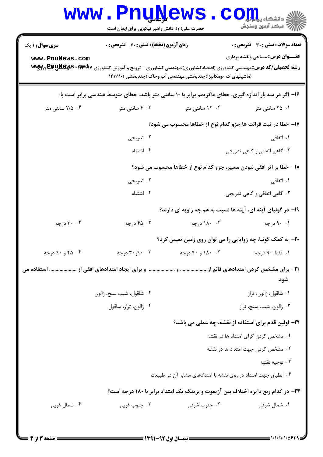| <b>WWW</b>             | <b>FUUNEWS</b><br>حضرت علی(ع): دانش راهبر نیکویی برای ایمان است                                                                        |                                                                                          | $\mathbf{C}\mathbf{O}$ چ دانشڪاه پيا<br>رآب مرڪز آزمون وسنڊش |  |
|------------------------|----------------------------------------------------------------------------------------------------------------------------------------|------------------------------------------------------------------------------------------|--------------------------------------------------------------|--|
| <b>سری سوال : ۱ یک</b> | <b>زمان آزمون (دقیقه) : تستی : 60 ٪ تشریحی : 0</b>                                                                                     |                                                                                          | <b>تعداد سوالات : تستی : 30 ٪ تشریحی : 0</b>                 |  |
| www.PnuNews.com        | <b>رشته تحصیلی/کد درس:</b> مهندسی کشاورزی (اقتصادکشاورزی)،مهندسی کشاورزی - ترویج و آموزش کشاورزی <b>۱۳۹</b> ۵۷ ه- <b>E»یلاپیس Ww</b> y | (ماشینهای ک ×ومکانیزا)چندبخشی،مهندسی آب وخاک (چندبخشی )۱۴۱۱۱۱۰                           | <b>عنـــوان درس:</b> مساحی ونقشه برداری                      |  |
|                        | ۱۶– اگر در سه بار اندازه گیری، خطای ماکزیمم برابر با ۱۰ سانتی متر باشد، خطای متوسط هندسی برابر است با:                                 |                                                                                          |                                                              |  |
| ۰۴ ۱/۵ سانتی متر       | ۰۳ سانتی متر                                                                                                                           | ۰۲ - ۱۲ سانتی متر                                                                        | ۰۱ ۲۵ سانتی متر                                              |  |
|                        |                                                                                                                                        | 17- خطا در ثبت قرائت ها جزو کدام نوع از خطاها محسوب می شود؟                              |                                                              |  |
|                        | ۰۲ تدریجی                                                                                                                              |                                                                                          | ۰۱ اتفاق <sub>ی</sub>                                        |  |
|                        | ۰۴ اشتباه                                                                                                                              | ۰۳ گاهی اتفاقی و گاهی تدریجی                                                             |                                                              |  |
|                        |                                                                                                                                        | 18- خطا بر اثر افقی نبودن مسیر، جزو کدام نوع از خطاها محسوب می شود؟                      |                                                              |  |
|                        | ۰۲ تدریجی                                                                                                                              |                                                                                          | ۰۱ اتفاق <sub>ی</sub>                                        |  |
|                        | ۰۴ اشتباه                                                                                                                              |                                                                                          | ۰۳ گاهی اتفاقی و گاهی تدریجی                                 |  |
|                        |                                                                                                                                        | ۱۹- در گونیای آینه ای، آینه ها نسبت به هم چه زاویه ای دارند؟                             |                                                              |  |
| ۰۴ درجه                | ۰۳ درجه                                                                                                                                | ۰۲ ۱۸۰ درجه                                                                              | ۰.۱ ۹۰ درجه                                                  |  |
|                        |                                                                                                                                        | +۲- به کمک گونیا، چه زوایایی را می توان روی زمین تعیین کرد؟                              |                                                              |  |
| ۰۴ و ۹۰ درجه $\sim$ ۹۰ | ۰۳ و۳۰ درجه                                                                                                                            | ۰. ۱۸۰ و ۹۰ د <sub>ر جه</sub>                                                            | ۰۱ فقط ۹۰ درجه                                               |  |
| شود.                   |                                                                                                                                        |                                                                                          |                                                              |  |
|                        | ٢. شاقول، شيب سنج، ژالون                                                                                                               |                                                                                          | ٠١ شاقول، ژالون، تراز                                        |  |
|                        | ۰۴ ژالون، تراز، شاقول                                                                                                                  |                                                                                          | ۰۳ ژالون، شیب سنج، تراز                                      |  |
|                        |                                                                                                                                        | ۲۲- اولین قدم برای استفاده از نقشه، چه عملی می باشد؟                                     |                                                              |  |
|                        |                                                                                                                                        |                                                                                          | ۰۱ مشخص کردن گرای امتداد ها در نقشه                          |  |
|                        |                                                                                                                                        |                                                                                          | ۲. مشخص کردن جهت امتداد ها در نقشه                           |  |
|                        |                                                                                                                                        |                                                                                          | ۰۳ توجيه نقشه                                                |  |
|                        |                                                                                                                                        | ۰۴ انطباق جهت امتداد در روی نقشه با امتدادهای مشابه آن در طبیعت                          |                                                              |  |
|                        |                                                                                                                                        | <b>۲۳</b> – در کدام ربع دایره اختلاف بین آزیموت و برینگ یک امتداد برابر با ۱۸۰ درجه است؟ |                                                              |  |
| ۰۴ شمال غربی           | ۰۳ جنوب غربی                                                                                                                           | ۰۲ جنوب شرقی                                                                             | ۰۱ شمال شرقی                                                 |  |
|                        |                                                                                                                                        |                                                                                          |                                                              |  |